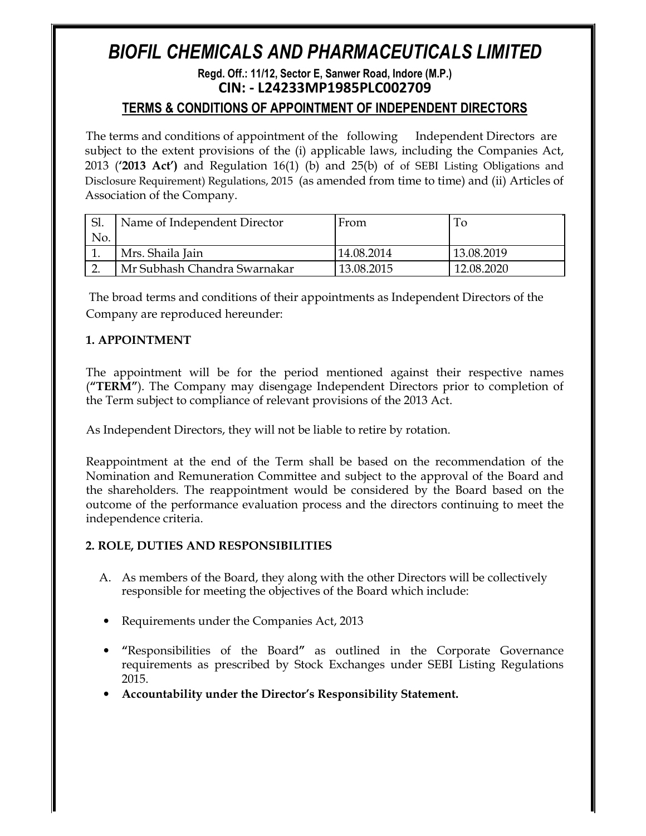# *BIOFIL CHEMICALS AND PHARMACEUTICALS LIMITED*

## **Regd. Off.: 11/12, Sector E, Sanwer Road, Indore (M.P.) CIN: - L24233MP1985PLC002709**

## **TERMS & CONDITIONS OF APPOINTMENT OF INDEPENDENT DIRECTORS**

The terms and conditions of appointment of the following Independent Directors are subject to the extent provisions of the (i) applicable laws, including the Companies Act, 2013 (**'2013 Act')** and Regulation 16(1) (b) and 25(b) of of SEBI Listing Obligations and Disclosure Requirement) Regulations, 2015 (as amended from time to time) and (ii) Articles of Association of the Company.

| Sl. | Name of Independent Director | From       | 10         |
|-----|------------------------------|------------|------------|
| No. |                              |            |            |
|     | Mrs. Shaila Jain             | 14.08.2014 | 13.08.2019 |
|     | Mr Subhash Chandra Swarnakar | 13.08.2015 | 12.08.2020 |

The broad terms and conditions of their appointments as Independent Directors of the Company are reproduced hereunder:

## **1. APPOINTMENT**

The appointment will be for the period mentioned against their respective names (**"TERM"**). The Company may disengage Independent Directors prior to completion of the Term subject to compliance of relevant provisions of the 2013 Act.

As Independent Directors, they will not be liable to retire by rotation.

Reappointment at the end of the Term shall be based on the recommendation of the Nomination and Remuneration Committee and subject to the approval of the Board and the shareholders. The reappointment would be considered by the Board based on the outcome of the performance evaluation process and the directors continuing to meet the independence criteria.

## **2. ROLE, DUTIES AND RESPONSIBILITIES**

- A. As members of the Board, they along with the other Directors will be collectively responsible for meeting the objectives of the Board which include:
- Requirements under the Companies Act, 2013
- **"**Responsibilities of the Board**"** as outlined in the Corporate Governance requirements as prescribed by Stock Exchanges under SEBI Listing Regulations 2015.
- **Accountability under the Director's Responsibility Statement.**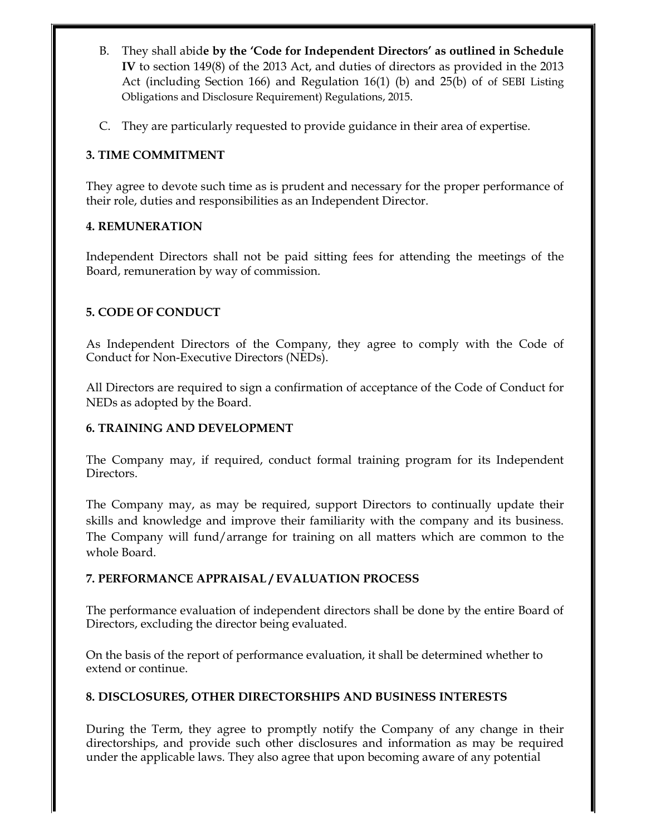- B. They shall abid**e by the 'Code for Independent Directors' as outlined in Schedule IV** to section 149(8) of the 2013 Act, and duties of directors as provided in the 2013 Act (including Section 166) and Regulation 16(1) (b) and 25(b) of of SEBI Listing Obligations and Disclosure Requirement) Regulations, 2015.
- C. They are particularly requested to provide guidance in their area of expertise.

## **3. TIME COMMITMENT**

They agree to devote such time as is prudent and necessary for the proper performance of their role, duties and responsibilities as an Independent Director.

## **4. REMUNERATION**

Independent Directors shall not be paid sitting fees for attending the meetings of the Board, remuneration by way of commission.

## **5. CODE OF CONDUCT**

As Independent Directors of the Company, they agree to comply with the Code of Conduct for Non-Executive Directors (NEDs).

All Directors are required to sign a confirmation of acceptance of the Code of Conduct for NEDs as adopted by the Board.

## **6. TRAINING AND DEVELOPMENT**

The Company may, if required, conduct formal training program for its Independent Directors.

The Company may, as may be required, support Directors to continually update their skills and knowledge and improve their familiarity with the company and its business. The Company will fund/arrange for training on all matters which are common to the whole Board.

## **7. PERFORMANCE APPRAISAL / EVALUATION PROCESS**

The performance evaluation of independent directors shall be done by the entire Board of Directors, excluding the director being evaluated.

On the basis of the report of performance evaluation, it shall be determined whether to extend or continue.

## **8. DISCLOSURES, OTHER DIRECTORSHIPS AND BUSINESS INTERESTS**

During the Term, they agree to promptly notify the Company of any change in their directorships, and provide such other disclosures and information as may be required under the applicable laws. They also agree that upon becoming aware of any potential